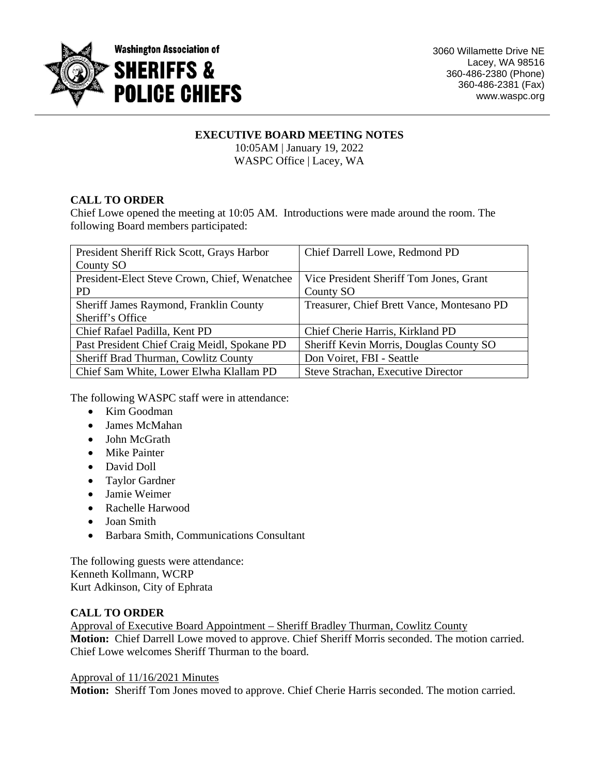

# **EXECUTIVE BOARD MEETING NOTES**

10:05AM | January 19, 2022 WASPC Office | Lacey, WA

# **CALL TO ORDER**

Chief Lowe opened the meeting at 10:05 AM. Introductions were made around the room. The following Board members participated:

| President Sheriff Rick Scott, Grays Harbor    | Chief Darrell Lowe, Redmond PD             |
|-----------------------------------------------|--------------------------------------------|
| County SO                                     |                                            |
| President-Elect Steve Crown, Chief, Wenatchee | Vice President Sheriff Tom Jones, Grant    |
| <b>PD</b>                                     | County SO                                  |
| Sheriff James Raymond, Franklin County        | Treasurer, Chief Brett Vance, Montesano PD |
| Sheriff's Office                              |                                            |
| Chief Rafael Padilla, Kent PD                 | Chief Cherie Harris, Kirkland PD           |
| Past President Chief Craig Meidl, Spokane PD  | Sheriff Kevin Morris, Douglas County SO    |
| Sheriff Brad Thurman, Cowlitz County          | Don Voiret, FBI - Seattle                  |
| Chief Sam White, Lower Elwha Klallam PD       | Steve Strachan, Executive Director         |

The following WASPC staff were in attendance:

- Kim Goodman
- James McMahan
- John McGrath
- Mike Painter
- David Doll
- Taylor Gardner
- Jamie Weimer
- Rachelle Harwood
- Joan Smith
- Barbara Smith, Communications Consultant

The following guests were attendance: Kenneth Kollmann, WCRP Kurt Adkinson, City of Ephrata

# **CALL TO ORDER**

Approval of Executive Board Appointment – Sheriff Bradley Thurman, Cowlitz County

**Motion:** Chief Darrell Lowe moved to approve. Chief Sheriff Morris seconded. The motion carried. Chief Lowe welcomes Sheriff Thurman to the board.

# Approval of 11/16/2021 Minutes

**Motion:** Sheriff Tom Jones moved to approve. Chief Cherie Harris seconded. The motion carried.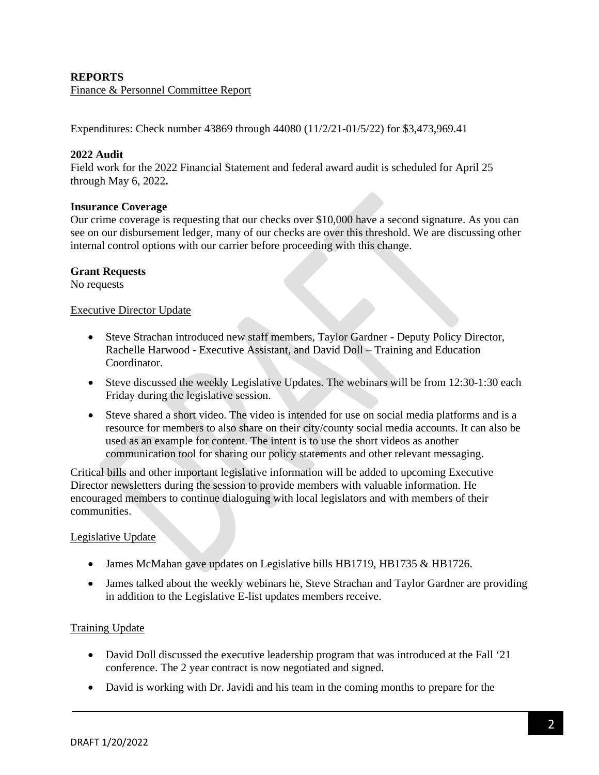## **REPORTS**

Finance & Personnel Committee Report

Expenditures: Check number 43869 through 44080 (11/2/21-01/5/22) for \$3,473,969.41

## **2022 Audit**

Field work for the 2022 Financial Statement and federal award audit is scheduled for April 25 through May 6, 2022**.**

#### **Insurance Coverage**

Our crime coverage is requesting that our checks over \$10,000 have a second signature. As you can see on our disbursement ledger, many of our checks are over this threshold. We are discussing other internal control options with our carrier before proceeding with this change.

#### **Grant Requests**

No requests

## Executive Director Update

- Steve Strachan introduced new staff members, Taylor Gardner Deputy Policy Director, Rachelle Harwood - Executive Assistant, and David Doll – Training and Education Coordinator.
- Steve discussed the weekly Legislative Updates. The webinars will be from 12:30-1:30 each Friday during the legislative session.
- Steve shared a short video. The video is intended for use on social media platforms and is a resource for members to also share on their city/county social media accounts. It can also be used as an example for content. The intent is to use the short videos as another communication tool for sharing our policy statements and other relevant messaging.

Critical bills and other important legislative information will be added to upcoming Executive Director newsletters during the session to provide members with valuable information. He encouraged members to continue dialoguing with local legislators and with members of their communities.

#### Legislative Update

- James McMahan gave updates on Legislative bills HB1719, HB1735 & HB1726.
- James talked about the weekly webinars he, Steve Strachan and Taylor Gardner are providing in addition to the Legislative E-list updates members receive.

## **Training Update**

- David Doll discussed the executive leadership program that was introduced at the Fall '21 conference. The 2 year contract is now negotiated and signed.
- David is working with Dr. Javidi and his team in the coming months to prepare for the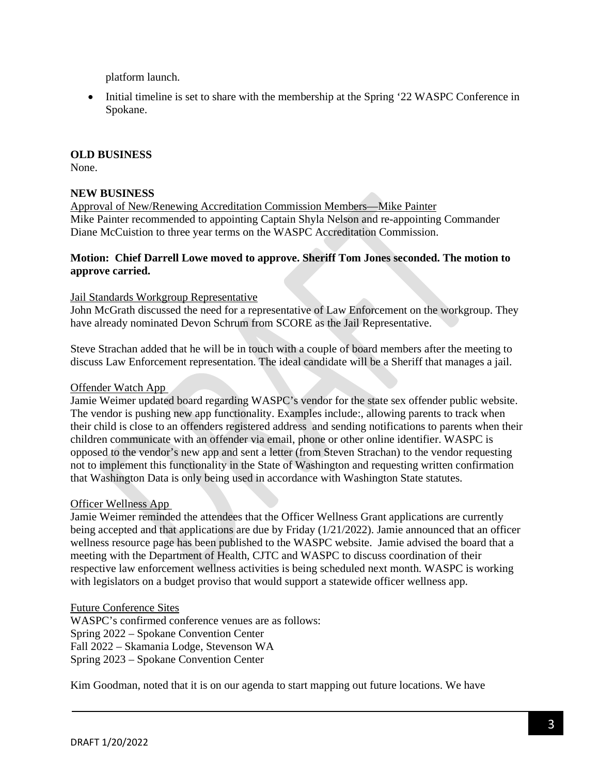platform launch.

• Initial timeline is set to share with the membership at the Spring '22 WASPC Conference in Spokane.

## **OLD BUSINESS**

None.

## **NEW BUSINESS**

Approval of New/Renewing Accreditation Commission Members—Mike Painter Mike Painter recommended to appointing Captain Shyla Nelson and re-appointing Commander Diane McCuistion to three year terms on the WASPC Accreditation Commission.

## **Motion: Chief Darrell Lowe moved to approve. Sheriff Tom Jones seconded. The motion to approve carried.**

## Jail Standards Workgroup Representative

John McGrath discussed the need for a representative of Law Enforcement on the workgroup. They have already nominated Devon Schrum from SCORE as the Jail Representative.

Steve Strachan added that he will be in touch with a couple of board members after the meeting to discuss Law Enforcement representation. The ideal candidate will be a Sheriff that manages a jail.

#### Offender Watch App

Jamie Weimer updated board regarding WASPC's vendor for the state sex offender public website. The vendor is pushing new app functionality. Examples include:, allowing parents to track when their child is close to an offenders registered address and sending notifications to parents when their children communicate with an offender via email, phone or other online identifier. WASPC is opposed to the vendor's new app and sent a letter (from Steven Strachan) to the vendor requesting not to implement this functionality in the State of Washington and requesting written confirmation that Washington Data is only being used in accordance with Washington State statutes.

#### Officer Wellness App

Jamie Weimer reminded the attendees that the Officer Wellness Grant applications are currently being accepted and that applications are due by Friday (1/21/2022). Jamie announced that an officer wellness resource page has been published to the WASPC website. Jamie advised the board that a meeting with the Department of Health, CJTC and WASPC to discuss coordination of their respective law enforcement wellness activities is being scheduled next month. WASPC is working with legislators on a budget proviso that would support a statewide officer wellness app.

#### Future Conference Sites

WASPC's confirmed conference venues are as follows: Spring 2022 – Spokane Convention Center Fall 2022 – Skamania Lodge, Stevenson WA Spring 2023 – Spokane Convention Center

Kim Goodman, noted that it is on our agenda to start mapping out future locations. We have